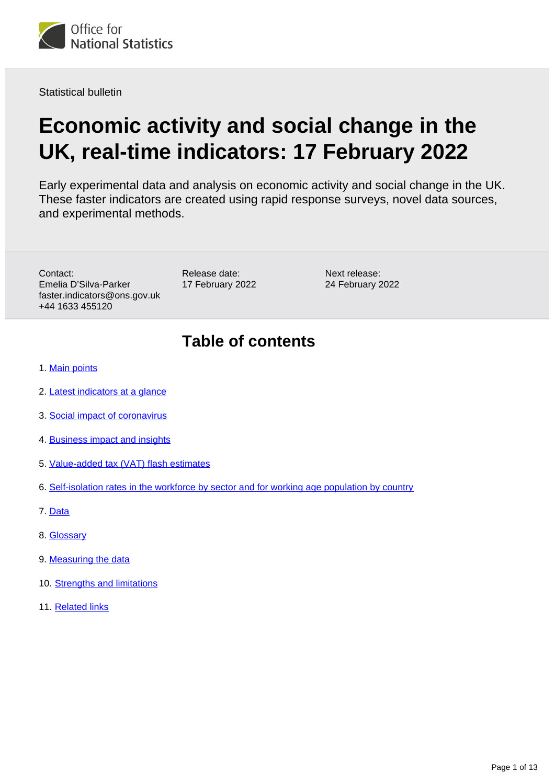

Statistical bulletin

# **Economic activity and social change in the UK, real-time indicators: 17 February 2022**

Early experimental data and analysis on economic activity and social change in the UK. These faster indicators are created using rapid response surveys, novel data sources, and experimental methods.

Contact: Emelia D'Silva-Parker faster.indicators@ons.gov.uk +44 1633 455120

Release date: 17 February 2022

Next release: 24 February 2022

## **Table of contents**

- 1. [Main points](#page-1-0)
- 2. [Latest indicators at a glance](#page-3-0)
- 3. [Social impact of coronavirus](#page-3-1)
- 4. [Business impact and insights](#page-5-0)
- 5. [Value-added tax \(VAT\) flash estimates](#page-8-0)
- 6. [Self-isolation rates in the workforce by sector and for working age population by country](#page-9-0)
- 7. [Data](#page-10-0)
- 8. [Glossary](#page-10-1)
- 9. [Measuring the data](#page-11-0)
- 10. [Strengths and limitations](#page-11-1)
- 11. [Related links](#page-12-0)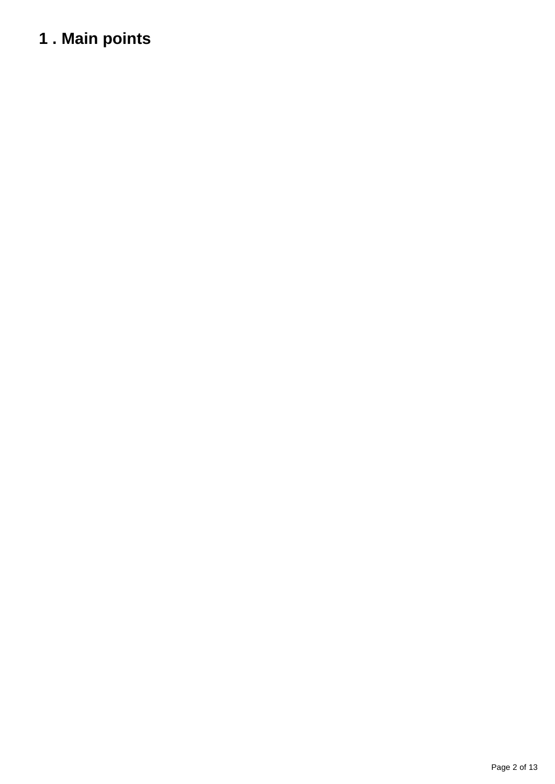# <span id="page-1-0"></span>**1 . Main points**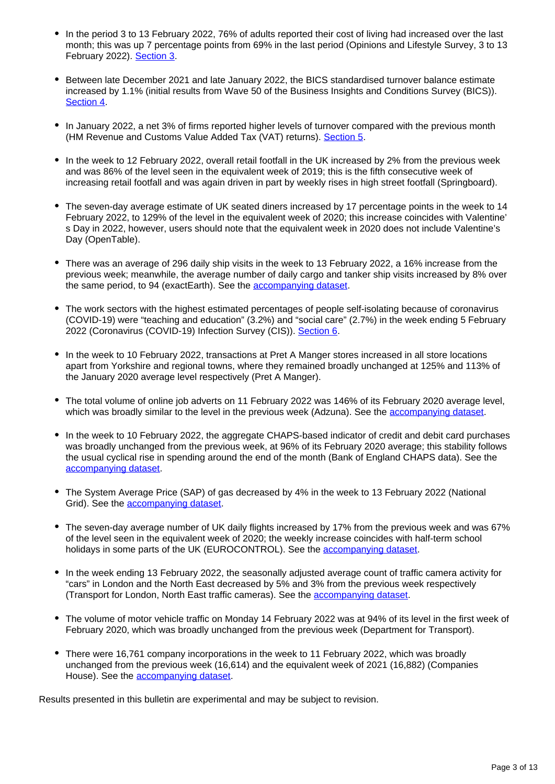- In the period 3 to 13 February 2022, 76% of adults reported their cost of living had increased over the last month; this was up 7 percentage points from 69% in the last period (Opinions and Lifestyle Survey, 3 to 13 February 2022). [Section 3](https://publishing.ons.gov.uk/economy/economicoutputandproductivity/output/bulletins/economicactivityandsocialchangeintheukrealtimeindicators/17february2022#social-impact-of-coronavirus).
- Between late December 2021 and late January 2022, the BICS standardised turnover balance estimate increased by 1.1% (initial results from Wave 50 of the Business Insights and Conditions Survey (BICS)). [Section 4.](https://www.ons.gov.uk/economy/economicoutputandproductivity/output/bulletins/economicactivityandsocialchangeintheukrealtimeindicators/17february2022#business-impact-and-insights)
- In January 2022, a net 3% of firms reported higher levels of turnover compared with the previous month (HM Revenue and Customs Value Added Tax (VAT) returns). [Section 5.](https://www.ons.gov.uk/economy/economicoutputandproductivity/output/bulletins/economicactivityandsocialchangeintheukrealtimeindicators/17february2022#value-added-tax-vat-flash-estimates)
- In the week to 12 February 2022, overall retail footfall in the UK increased by 2% from the previous week and was 86% of the level seen in the equivalent week of 2019; this is the fifth consecutive week of increasing retail footfall and was again driven in part by weekly rises in high street footfall (Springboard).
- The seven-day average estimate of UK seated diners increased by 17 percentage points in the week to 14 February 2022, to 129% of the level in the equivalent week of 2020; this increase coincides with Valentine' s Day in 2022, however, users should note that the equivalent week in 2020 does not include Valentine's Day (OpenTable).
- There was an average of 296 daily ship visits in the week to 13 February 2022, a 16% increase from the previous week; meanwhile, the average number of daily cargo and tanker ship visits increased by 8% over the same period, to 94 (exactEarth). See the [accompanying dataset.](https://www.ons.gov.uk/economy/economicoutputandproductivity/output/datasets/weeklyshippingindicators)
- The work sectors with the highest estimated percentages of people self-isolating because of coronavirus (COVID-19) were "teaching and education" (3.2%) and "social care" (2.7%) in the week ending 5 February 2022 (Coronavirus (COVID-19) Infection Survey (CIS)). [Section 6](https://www.ons.gov.uk/economy/economicoutputandproductivity/output/bulletins/economicactivityandsocialchangeintheukrealtimeindicators/17february2022#self-isolation-rates-in-the-workforce-by-sector-and-for-working-age-population-by-country).
- In the week to 10 February 2022, transactions at Pret A Manger stores increased in all store locations apart from Yorkshire and regional towns, where they remained broadly unchanged at 125% and 113% of the January 2020 average level respectively (Pret A Manger).
- The total volume of online job adverts on 11 February 2022 was 146% of its February 2020 average level, which was broadly similar to the level in the previous week (Adzuna). See the [accompanying dataset](https://www.ons.gov.uk/economy/economicoutputandproductivity/output/datasets/onlinejobadvertestimates).
- In the week to 10 February 2022, the aggregate CHAPS-based indicator of credit and debit card purchases was broadly unchanged from the previous week, at 96% of its February 2020 average; this stability follows the usual cyclical rise in spending around the end of the month (Bank of England CHAPS data). See the [accompanying dataset.](https://www.ons.gov.uk/economy/economicoutputandproductivity/output/datasets/ukspendingoncreditanddebitcards)
- The System Average Price (SAP) of gas decreased by 4% in the week to 13 February 2022 (National Grid). See the **accompanying dataset**.
- The seven-day average number of UK daily flights increased by 17% from the previous week and was 67% of the level seen in the equivalent week of 2020; the weekly increase coincides with half-term school holidays in some parts of the UK (EUROCONTROL). See the [accompanying dataset.](https://www.ons.gov.uk/economy/economicoutputandproductivity/output/datasets/dailyukflights)
- In the week ending 13 February 2022, the seasonally adjusted average count of traffic camera activity for "cars" in London and the North East decreased by 5% and 3% from the previous week respectively (Transport for London, North East traffic cameras). See the **accompanying dataset**.
- The volume of motor vehicle traffic on Monday 14 February 2022 was at 94% of its level in the first week of February 2020, which was broadly unchanged from the previous week (Department for Transport).
- There were 16,761 company incorporations in the week to 11 February 2022, which was broadly unchanged from the previous week (16,614) and the equivalent week of 2021 (16,882) (Companies House). See the [accompanying dataset](https://www.ons.gov.uk/economy/economicoutputandproductivity/output/datasets/companyincorporationsandvoluntarydissolutions).

Results presented in this bulletin are experimental and may be subject to revision.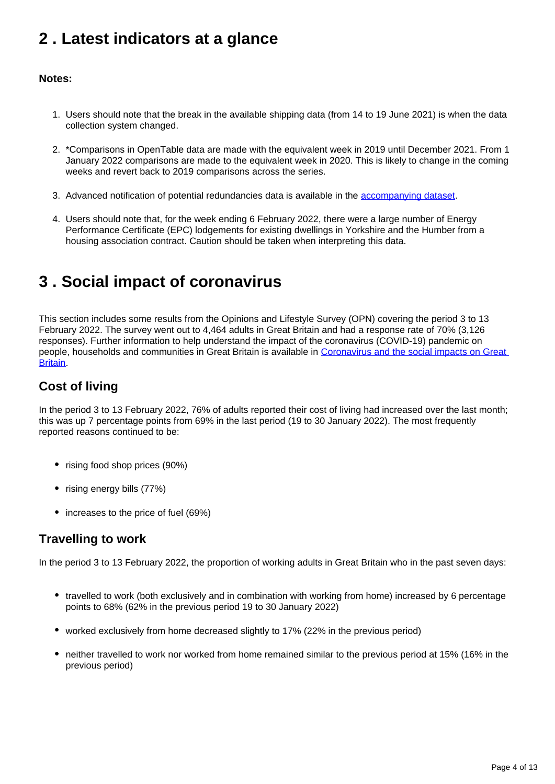## <span id="page-3-0"></span>**2 . Latest indicators at a glance**

#### **Notes:**

- 1. Users should note that the break in the available shipping data (from 14 to 19 June 2021) is when the data collection system changed.
- 2. \*Comparisons in OpenTable data are made with the equivalent week in 2019 until December 2021. From 1 January 2022 comparisons are made to the equivalent week in 2020. This is likely to change in the coming weeks and revert back to 2019 comparisons across the series.
- 3. Advanced notification of potential redundancies data is available in the [accompanying dataset](https://www.ons.gov.uk/economy/economicoutputandproductivity/output/datasets/advancednotificationofpotentialredundancies).
- 4. Users should note that, for the week ending 6 February 2022, there were a large number of Energy Performance Certificate (EPC) lodgements for existing dwellings in Yorkshire and the Humber from a housing association contract. Caution should be taken when interpreting this data.

## <span id="page-3-1"></span>**3 . Social impact of coronavirus**

This section includes some results from the Opinions and Lifestyle Survey (OPN) covering the period 3 to 13 February 2022. The survey went out to 4,464 adults in Great Britain and had a response rate of 70% (3,126 responses). Further information to help understand the impact of the coronavirus (COVID-19) pandemic on people, households and communities in Great Britain is available in [Coronavirus and the social impacts on Great](https://www.ons.gov.uk/peoplepopulationandcommunity/healthandsocialcare/healthandwellbeing/bulletins/coronavirusandthesocialimpactsongreatbritain/latest)  **Britain** 

### **Cost of living**

In the period 3 to 13 February 2022, 76% of adults reported their cost of living had increased over the last month; this was up 7 percentage points from 69% in the last period (19 to 30 January 2022). The most frequently reported reasons continued to be:

- rising food shop prices (90%)
- rising energy bills (77%)
- increases to the price of fuel (69%)

### **Travelling to work**

In the period 3 to 13 February 2022, the proportion of working adults in Great Britain who in the past seven days:

- travelled to work (both exclusively and in combination with working from home) increased by 6 percentage points to 68% (62% in the previous period 19 to 30 January 2022)
- worked exclusively from home decreased slightly to 17% (22% in the previous period)
- neither travelled to work nor worked from home remained similar to the previous period at 15% (16% in the previous period)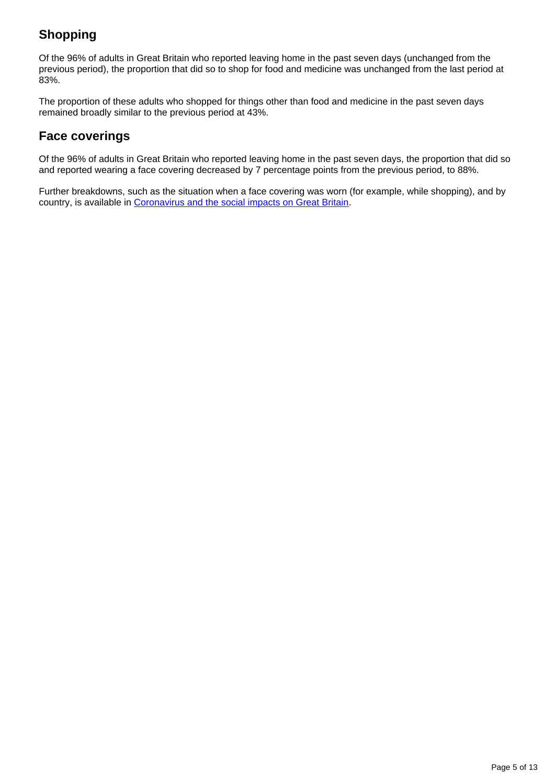## **Shopping**

Of the 96% of adults in Great Britain who reported leaving home in the past seven days (unchanged from the previous period), the proportion that did so to shop for food and medicine was unchanged from the last period at 83%.

The proportion of these adults who shopped for things other than food and medicine in the past seven days remained broadly similar to the previous period at 43%.

### **Face coverings**

Of the 96% of adults in Great Britain who reported leaving home in the past seven days, the proportion that did so and reported wearing a face covering decreased by 7 percentage points from the previous period, to 88%.

Further breakdowns, such as the situation when a face covering was worn (for example, while shopping), and by country, is available in [Coronavirus and the social impacts on Great Britain](https://www.ons.gov.uk/peoplepopulationandcommunity/healthandsocialcare/healthandwellbeing/bulletins/coronavirusandthesocialimpactsongreatbritain/latest).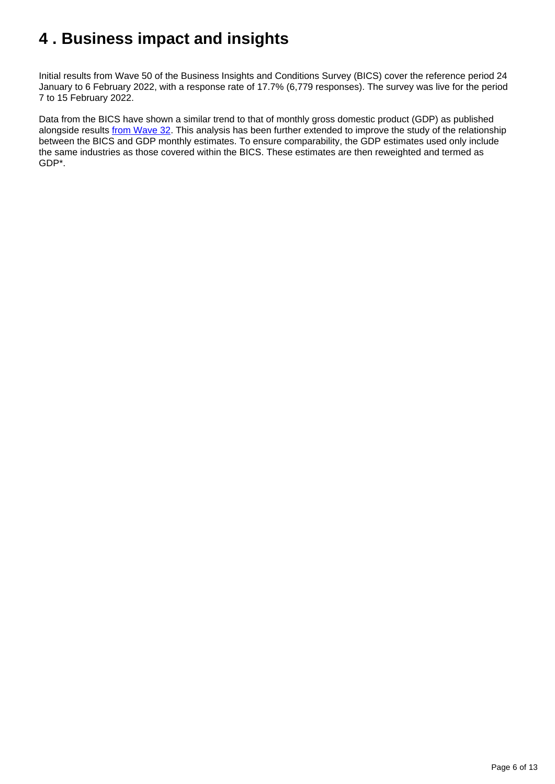# <span id="page-5-0"></span>**4 . Business impact and insights**

Initial results from Wave 50 of the Business Insights and Conditions Survey (BICS) cover the reference period 24 January to 6 February 2022, with a response rate of 17.7% (6,779 responses). The survey was live for the period 7 to 15 February 2022.

Data from the BICS have shown a similar trend to that of monthly gross domestic product (GDP) as published alongside results [from Wave 32](https://www.ons.gov.uk/businessindustryandtrade/business/businessservices/bulletins/businessinsightsandimpactontheukeconomy/17june2021#comparison-with-monthly-gdp-estimates-across-waves). This analysis has been further extended to improve the study of the relationship between the BICS and GDP monthly estimates. To ensure comparability, the GDP estimates used only include the same industries as those covered within the BICS. These estimates are then reweighted and termed as GDP\*.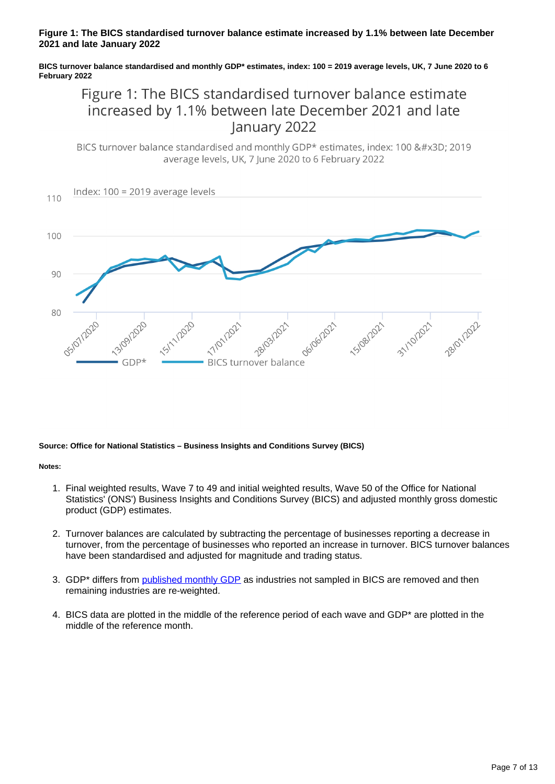#### **Figure 1: The BICS standardised turnover balance estimate increased by 1.1% between late December 2021 and late January 2022**

#### **BICS turnover balance standardised and monthly GDP\* estimates, index: 100 = 2019 average levels, UK, 7 June 2020 to 6 February 2022**

## Figure 1: The BICS standardised turnover balance estimate increased by 1.1% between late December 2021 and late January 2022

BICS turnover balance standardised and monthly GDP\* estimates, index: 100 = 2019 average levels, UK, 7 June 2020 to 6 February 2022



#### **Source: Office for National Statistics – Business Insights and Conditions Survey (BICS)**

**Notes:**

- 1. Final weighted results, Wave 7 to 49 and initial weighted results, Wave 50 of the Office for National Statistics' (ONS') Business Insights and Conditions Survey (BICS) and adjusted monthly gross domestic product (GDP) estimates.
- 2. Turnover balances are calculated by subtracting the percentage of businesses reporting a decrease in turnover, from the percentage of businesses who reported an increase in turnover. BICS turnover balances have been standardised and adjusted for magnitude and trading status.
- 3. GDP\* differs from [published monthly GDP](https://www.ons.gov.uk/economy/grossdomesticproductgdp/bulletins/gdpmonthlyestimateuk/latest) as industries not sampled in BICS are removed and then remaining industries are re-weighted.
- 4. BICS data are plotted in the middle of the reference period of each wave and GDP\* are plotted in the middle of the reference month.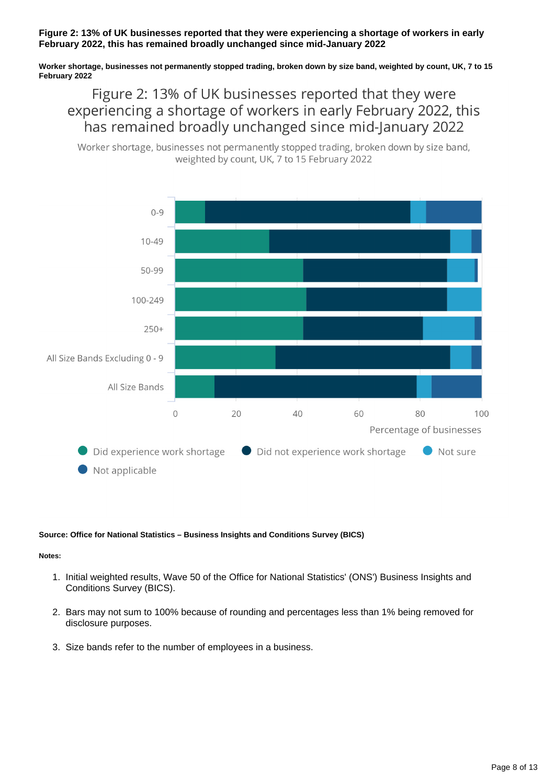#### **Figure 2: 13% of UK businesses reported that they were experiencing a shortage of workers in early February 2022, this has remained broadly unchanged since mid-January 2022**

**Worker shortage, businesses not permanently stopped trading, broken down by size band, weighted by count, UK, 7 to 15 February 2022**

Figure 2: 13% of UK businesses reported that they were experiencing a shortage of workers in early February 2022, this has remained broadly unchanged since mid-January 2022





#### **Source: Office for National Statistics – Business Insights and Conditions Survey (BICS)**

#### **Notes:**

- 1. Initial weighted results, Wave 50 of the Office for National Statistics' (ONS') Business Insights and Conditions Survey (BICS).
- 2. Bars may not sum to 100% because of rounding and percentages less than 1% being removed for disclosure purposes.
- 3. Size bands refer to the number of employees in a business.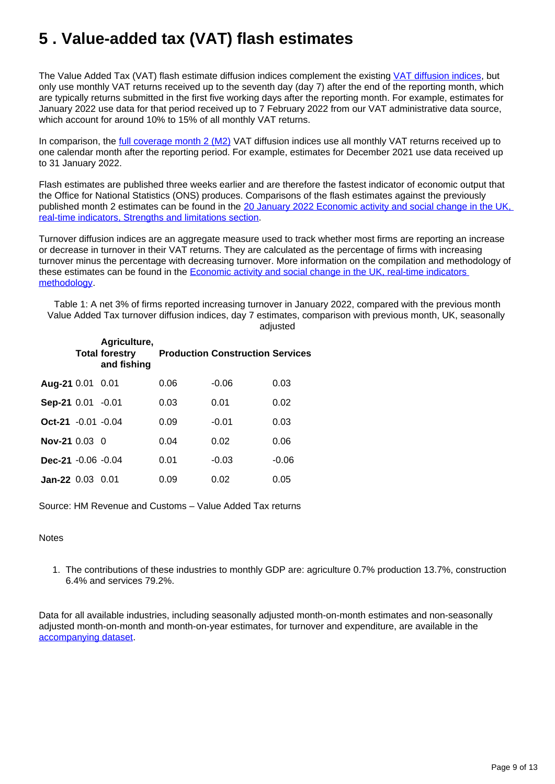# <span id="page-8-0"></span>**5 . Value-added tax (VAT) flash estimates**

The Value Added Tax (VAT) flash estimate diffusion indices complement the existing [VAT diffusion indices](https://www.ons.gov.uk/economy/economicoutputandproductivity/output/datasets/valueaddedtaxvat), but only use monthly VAT returns received up to the seventh day (day 7) after the end of the reporting month, which are typically returns submitted in the first five working days after the reporting month. For example, estimates for January 2022 use data for that period received up to 7 February 2022 from our VAT administrative data source, which account for around 10% to 15% of all monthly VAT returns.

In comparison, the [full coverage month 2 \(M2\)](https://www.ons.gov.uk/economy/economicoutputandproductivity/output/datasets/valueaddedtaxvatflashestimates) VAT diffusion indices use all monthly VAT returns received up to one calendar month after the reporting period. For example, estimates for December 2021 use data received up to 31 January 2022.

Flash estimates are published three weeks earlier and are therefore the fastest indicator of economic output that the Office for National Statistics (ONS) produces. Comparisons of the flash estimates against the previously published month 2 estimates can be found in the 20 January 2022 Economic activity and social change in the UK, [real-time indicators, Strengths and limitations section.](https://www.ons.gov.uk/economy/economicoutputandproductivity/output/bulletins/economicactivityandsocialchangeintheukrealtimeindicators/20january2022#strengths-and-limitations)

Turnover diffusion indices are an aggregate measure used to track whether most firms are reporting an increase or decrease in turnover in their VAT returns. They are calculated as the percentage of firms with increasing turnover minus the percentage with decreasing turnover. More information on the compilation and methodology of these estimates can be found in the [Economic activity and social change in the UK, real-time indicators](https://www.ons.gov.uk/economy/economicoutputandproductivity/output/methodologies/coronavirusandthelatestindicatorsfortheukeconomyandsocietymethodology)  [methodology.](https://www.ons.gov.uk/economy/economicoutputandproductivity/output/methodologies/coronavirusandthelatestindicatorsfortheukeconomyandsocietymethodology)

Table 1: A net 3% of firms reported increasing turnover in January 2022, compared with the previous month Value Added Tax turnover diffusion indices, day 7 estimates, comparison with previous month, UK, seasonally adjusted

|                           | Agriculture,<br><b>Total forestry</b><br>and fishing |      | <b>Production Construction Services</b> |         |
|---------------------------|------------------------------------------------------|------|-----------------------------------------|---------|
| Aug-21 0.01 0.01          |                                                      | 0.06 | $-0.06$                                 | 0.03    |
| Sep-21 0.01 -0.01         |                                                      | 0.03 | 0.01                                    | 0.02    |
| $Oct-21 -0.01 -0.04$      |                                                      | 0.09 | $-0.01$                                 | 0.03    |
| <b>Nov-21</b> $0.03 \, 0$ |                                                      | 0.04 | 0.02                                    | 0.06    |
| Dec-21 $-0.06 -0.04$      |                                                      | 0.01 | $-0.03$                                 | $-0.06$ |
| $Jan-22$ 0.03 0.01        |                                                      | 0.09 | 0.02                                    | 0.05    |

Source: HM Revenue and Customs – Value Added Tax returns

#### **Notes**

1. The contributions of these industries to monthly GDP are: agriculture 0.7% production 13.7%, construction 6.4% and services 79.2%.

Data for all available industries, including seasonally adjusted month-on-month estimates and non-seasonally adjusted month-on-month and month-on-year estimates, for turnover and expenditure, are available in the [accompanying dataset.](https://www.ons.gov.uk/economy/economicoutputandproductivity/output/datasets/valueaddedtaxvatflashestimates)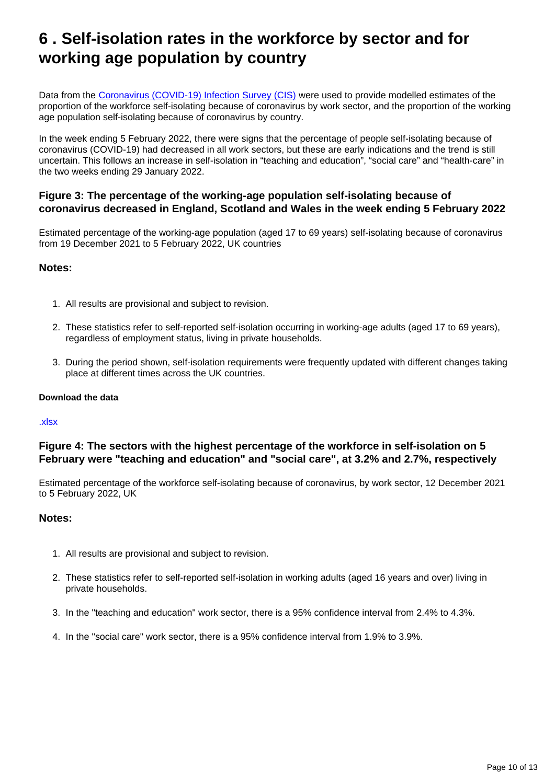## <span id="page-9-0"></span>**6 . Self-isolation rates in the workforce by sector and for working age population by country**

Data from the [Coronavirus \(COVID-19\) Infection Survey \(CIS\)](https://www.ons.gov.uk/peoplepopulationandcommunity/healthandsocialcare/conditionsanddiseases/bulletins/coronaviruscovid19infectionsurveyestimatesoftheukworkforceinselfisolationbysector/latest) were used to provide modelled estimates of the proportion of the workforce self-isolating because of coronavirus by work sector, and the proportion of the working age population self-isolating because of coronavirus by country.

In the week ending 5 February 2022, there were signs that the percentage of people self-isolating because of coronavirus (COVID-19) had decreased in all work sectors, but these are early indications and the trend is still uncertain. This follows an increase in self-isolation in "teaching and education", "social care" and "health-care" in the two weeks ending 29 January 2022.

#### **Figure 3: The percentage of the working-age population self-isolating because of coronavirus decreased in England, Scotland and Wales in the week ending 5 February 2022**

Estimated percentage of the working-age population (aged 17 to 69 years) self-isolating because of coronavirus from 19 December 2021 to 5 February 2022, UK countries

#### **Notes:**

- 1. All results are provisional and subject to revision.
- 2. These statistics refer to self-reported self-isolation occurring in working-age adults (aged 17 to 69 years), regardless of employment status, living in private households.
- 3. During the period shown, self-isolation requirements were frequently updated with different changes taking place at different times across the UK countries.

#### **Download the data**

#### [.xlsx](http://www.ons.gov.uk/visualisations/dvc1816/country/datadownload.xlsx)

#### **Figure 4: The sectors with the highest percentage of the workforce in self-isolation on 5 February were "teaching and education" and "social care", at 3.2% and 2.7%, respectively**

Estimated percentage of the workforce self-isolating because of coronavirus, by work sector, 12 December 2021 to 5 February 2022, UK

#### **Notes:**

- 1. All results are provisional and subject to revision.
- 2. These statistics refer to self-reported self-isolation in working adults (aged 16 years and over) living in private households.
- 3. In the "teaching and education" work sector, there is a 95% confidence interval from 2.4% to 4.3%.
- 4. In the "social care" work sector, there is a 95% confidence interval from 1.9% to 3.9%.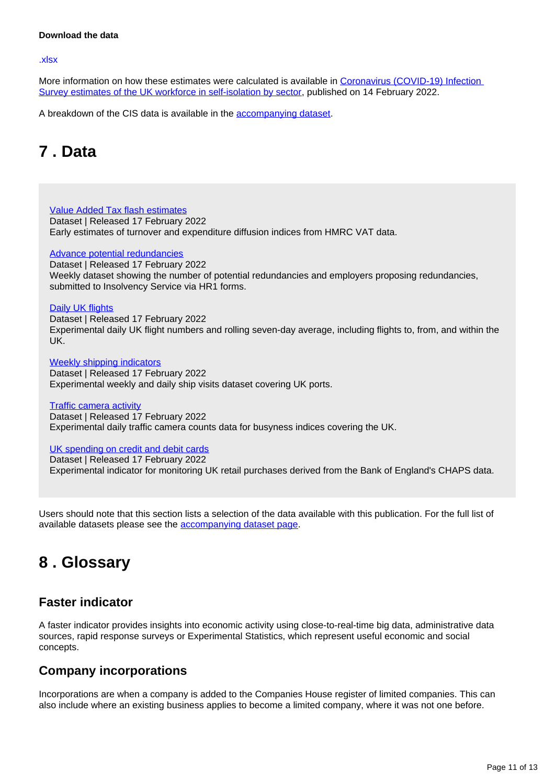#### **Download the data**

#### [.xlsx](www.ons.gov.uk/visualisations/dvc1816/occupation/datadownload.xlsx)

More information on how these estimates were calculated is available in Coronavirus (COVID-19) Infection [Survey estimates of the UK workforce in self-isolation by sector,](https://www.ons.gov.uk/peoplepopulationandcommunity/healthandsocialcare/conditionsanddiseases/bulletins/coronaviruscovid19infectionsurveyestimatesoftheukworkforceinselfisolationbysector/latest) published on 14 February 2022.

A breakdown of the CIS data is available in the **accompanying dataset**.

## <span id="page-10-0"></span>**7 . Data**

[Value Added Tax flash estimates](https://www.ons.gov.uk/economy/economicoutputandproductivity/output/datasets/valueaddedtaxvatflashestimates) Dataset | Released 17 February 2022 Early estimates of turnover and expenditure diffusion indices from HMRC VAT data.

#### [Advance potential redundancies](https://www.ons.gov.uk/economy/economicoutputandproductivity/output/datasets/advancednotificationofpotentialredundancies)

Dataset | Released 17 February 2022 Weekly dataset showing the number of potential redundancies and employers proposing redundancies, submitted to Insolvency Service via HR1 forms.

#### [Daily UK flights](https://www.ons.gov.uk/economy/economicoutputandproductivity/output/datasets/dailyukflights)

Dataset | Released 17 February 2022 Experimental daily UK flight numbers and rolling seven-day average, including flights to, from, and within the UK.

[Weekly shipping indicators](https://www.ons.gov.uk/economy/economicoutputandproductivity/output/datasets/weeklyshippingindicators) Dataset | Released 17 February 2022 Experimental weekly and daily ship visits dataset covering UK ports.

[Traffic camera activity](https://www.ons.gov.uk/economy/economicoutputandproductivity/output/datasets/trafficcameraactivity) Dataset | Released 17 February 2022 Experimental daily traffic camera counts data for busyness indices covering the UK.

#### [UK spending on credit and debit cards](https://www.ons.gov.uk/economy/economicoutputandproductivity/output/datasets/ukspendingoncreditanddebitcards)

Dataset | Released 17 February 2022 Experimental indicator for monitoring UK retail purchases derived from the Bank of England's CHAPS data.

Users should note that this section lists a selection of the data available with this publication. For the full list of available datasets please see the **accompanying dataset page**.

## <span id="page-10-1"></span>**8 . Glossary**

### **Faster indicator**

A faster indicator provides insights into economic activity using close-to-real-time big data, administrative data sources, rapid response surveys or Experimental Statistics, which represent useful economic and social concepts.

### **Company incorporations**

Incorporations are when a company is added to the Companies House register of limited companies. This can also include where an existing business applies to become a limited company, where it was not one before.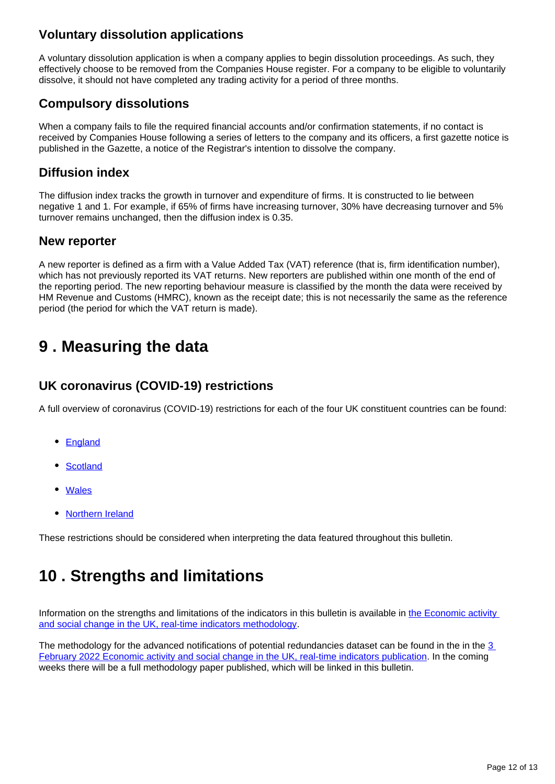## **Voluntary dissolution applications**

A voluntary dissolution application is when a company applies to begin dissolution proceedings. As such, they effectively choose to be removed from the Companies House register. For a company to be eligible to voluntarily dissolve, it should not have completed any trading activity for a period of three months.

## **Compulsory dissolutions**

When a company fails to file the required financial accounts and/or confirmation statements, if no contact is received by Companies House following a series of letters to the company and its officers, a first gazette notice is published in the Gazette, a notice of the Registrar's intention to dissolve the company.

### **Diffusion index**

The diffusion index tracks the growth in turnover and expenditure of firms. It is constructed to lie between negative 1 and 1. For example, if 65% of firms have increasing turnover, 30% have decreasing turnover and 5% turnover remains unchanged, then the diffusion index is 0.35.

### **New reporter**

A new reporter is defined as a firm with a Value Added Tax (VAT) reference (that is, firm identification number), which has not previously reported its VAT returns. New reporters are published within one month of the end of the reporting period. The new reporting behaviour measure is classified by the month the data were received by HM Revenue and Customs (HMRC), known as the receipt date; this is not necessarily the same as the reference period (the period for which the VAT return is made).

## <span id="page-11-0"></span>**9 . Measuring the data**

### **UK coronavirus (COVID-19) restrictions**

A full overview of coronavirus (COVID-19) restrictions for each of the four UK constituent countries can be found:

- [England](https://www.gov.uk/coronavirus)
- **[Scotland](https://www.gov.scot/coronavirus-covid-19/)**
- [Wales](https://gov.wales/coronavirus)
- [Northern Ireland](https://www.nidirect.gov.uk/campaigns/coronavirus-covid-19)

These restrictions should be considered when interpreting the data featured throughout this bulletin.

# <span id="page-11-1"></span>**10 . Strengths and limitations**

Information on the strengths and limitations of the indicators in this bulletin is available in the Economic activity [and social change in the UK, real-time indicators methodology.](https://www.ons.gov.uk/economy/economicoutputandproductivity/output/methodologies/coronavirusandthelatestindicatorsfortheukeconomyandsocietymethodology)

The methodology for the advanced notifications of potential redundancies dataset can be found in the in the 3 [February 2022 Economic activity and social change in the UK, real-time indicators publication](https://www.ons.gov.uk/economy/economicoutputandproductivity/output/bulletins/economicactivityandsocialchangeintheukrealtimeindicators/3february2022#strengths-and-limitations). In the coming weeks there will be a full methodology paper published, which will be linked in this bulletin.